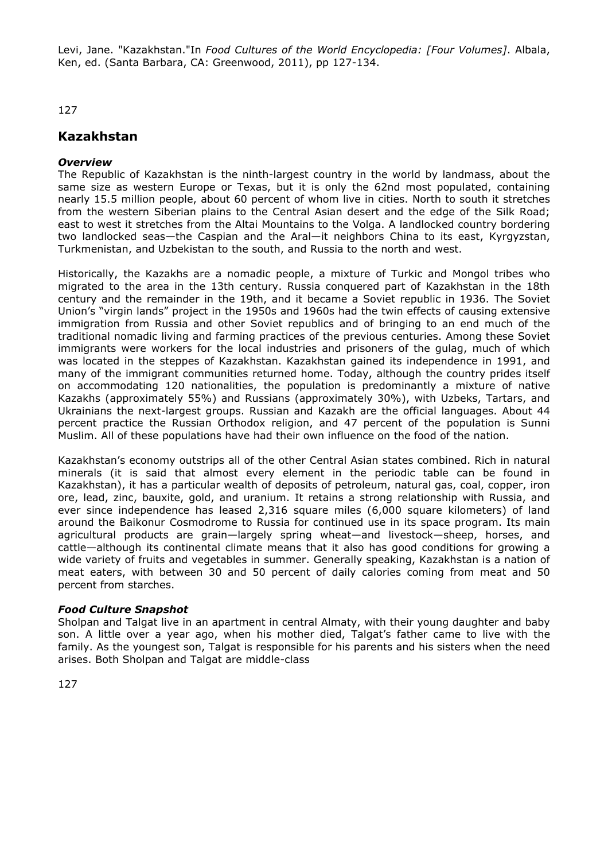Levi, Jane. "Kazakhstan."In *Food Cultures of the World Encyclopedia: [Four Volumes]*. Albala, Ken, ed. (Santa Barbara, CA: Greenwood, 2011), pp 127-134.

## 127

# **Kazakhstan**

## *Overview*

The Republic of Kazakhstan is the ninth-largest country in the world by landmass, about the same size as western Europe or Texas, but it is only the 62nd most populated, containing nearly 15.5 million people, about 60 percent of whom live in cities. North to south it stretches from the western Siberian plains to the Central Asian desert and the edge of the Silk Road; east to west it stretches from the Altai Mountains to the Volga. A landlocked country bordering two landlocked seas—the Caspian and the Aral—it neighbors China to its east, Kyrgyzstan, Turkmenistan, and Uzbekistan to the south, and Russia to the north and west.

Historically, the Kazakhs are a nomadic people, a mixture of Turkic and Mongol tribes who migrated to the area in the 13th century. Russia conquered part of Kazakhstan in the 18th century and the remainder in the 19th, and it became a Soviet republic in 1936. The Soviet Union's "virgin lands" project in the 1950s and 1960s had the twin effects of causing extensive immigration from Russia and other Soviet republics and of bringing to an end much of the traditional nomadic living and farming practices of the previous centuries. Among these Soviet immigrants were workers for the local industries and prisoners of the gulag, much of which was located in the steppes of Kazakhstan. Kazakhstan gained its independence in 1991, and many of the immigrant communities returned home. Today, although the country prides itself on accommodating 120 nationalities, the population is predominantly a mixture of native Kazakhs (approximately 55%) and Russians (approximately 30%), with Uzbeks, Tartars, and Ukrainians the next-largest groups. Russian and Kazakh are the official languages. About 44 percent practice the Russian Orthodox religion, and 47 percent of the population is Sunni Muslim. All of these populations have had their own influence on the food of the nation.

Kazakhstan's economy outstrips all of the other Central Asian states combined. Rich in natural minerals (it is said that almost every element in the periodic table can be found in Kazakhstan), it has a particular wealth of deposits of petroleum, natural gas, coal, copper, iron ore, lead, zinc, bauxite, gold, and uranium. It retains a strong relationship with Russia, and ever since independence has leased 2,316 square miles (6,000 square kilometers) of land around the Baikonur Cosmodrome to Russia for continued use in its space program. Its main agricultural products are grain—largely spring wheat—and livestock—sheep, horses, and cattle—although its continental climate means that it also has good conditions for growing a wide variety of fruits and vegetables in summer. Generally speaking, Kazakhstan is a nation of meat eaters, with between 30 and 50 percent of daily calories coming from meat and 50 percent from starches.

## *Food Culture Snapshot*

Sholpan and Talgat live in an apartment in central Almaty, with their young daughter and baby son. A little over a year ago, when his mother died, Talgat's father came to live with the family. As the youngest son, Talgat is responsible for his parents and his sisters when the need arises. Both Sholpan and Talgat are middle-class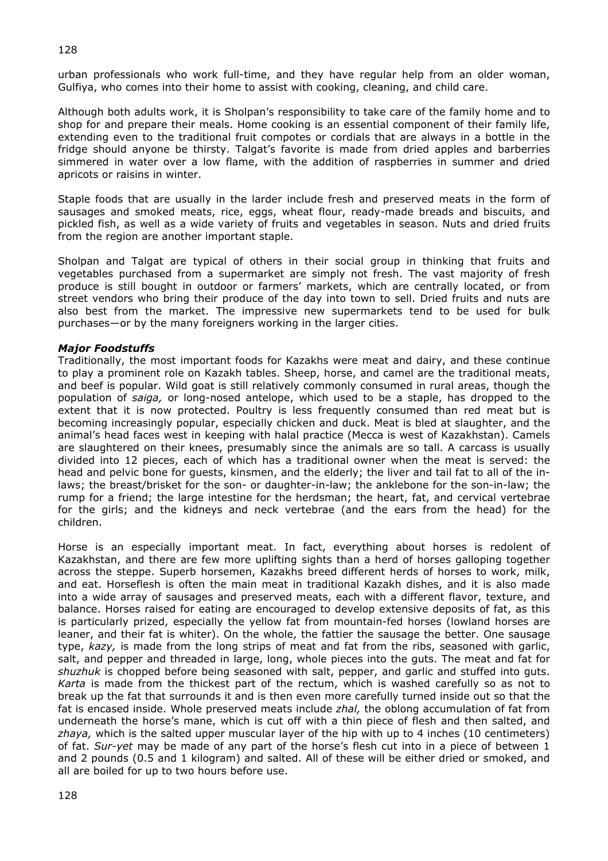urban professionals who work full-time, and they have regular help from an older woman, Gulfiya, who comes into their home to assist with cooking, cleaning, and child care.

Although both adults work, it is Sholpan's responsibility to take care of the family home and to shop for and prepare their meals. Home cooking is an essential component of their family life, extending even to the traditional fruit compotes or cordials that are always in a bottle in the fridge should anyone be thirsty. Talgat's favorite is made from dried apples and barberries simmered in water over a low flame, with the addition of raspberries in summer and dried apricots or raisins in winter.

Staple foods that are usually in the larder include fresh and preserved meats in the form of sausages and smoked meats, rice, eggs, wheat flour, ready-made breads and biscuits, and pickled fish, as well as a wide variety of fruits and vegetables in season. Nuts and dried fruits from the region are another important staple.

Sholpan and Talgat are typical of others in their social group in thinking that fruits and vegetables purchased from a supermarket are simply not fresh. The vast majority of fresh produce is still bought in outdoor or farmers' markets, which are centrally located, or from street vendors who bring their produce of the day into town to sell. Dried fruits and nuts are also best from the market. The impressive new supermarkets tend to be used for bulk purchases—or by the many foreigners working in the larger cities.

## *Major Foodstuffs*

Traditionally, the most important foods for Kazakhs were meat and dairy, and these continue to play a prominent role on Kazakh tables. Sheep, horse, and camel are the traditional meats, and beef is popular. Wild goat is still relatively commonly consumed in rural areas, though the population of *saiga,* or long-nosed antelope, which used to be a staple, has dropped to the extent that it is now protected. Poultry is less frequently consumed than red meat but is becoming increasingly popular, especially chicken and duck. Meat is bled at slaughter, and the animal's head faces west in keeping with halal practice (Mecca is west of Kazakhstan). Camels are slaughtered on their knees, presumably since the animals are so tall. A carcass is usually divided into 12 pieces, each of which has a traditional owner when the meat is served: the head and pelvic bone for guests, kinsmen, and the elderly; the liver and tail fat to all of the inlaws; the breast/brisket for the son- or daughter-in-law; the anklebone for the son-in-law; the rump for a friend; the large intestine for the herdsman; the heart, fat, and cervical vertebrae for the girls; and the kidneys and neck vertebrae (and the ears from the head) for the children.

Horse is an especially important meat. In fact, everything about horses is redolent of Kazakhstan, and there are few more uplifting sights than a herd of horses galloping together across the steppe. Superb horsemen, Kazakhs breed different herds of horses to work, milk, and eat. Horseflesh is often the main meat in traditional Kazakh dishes, and it is also made into a wide array of sausages and preserved meats, each with a different flavor, texture, and balance. Horses raised for eating are encouraged to develop extensive deposits of fat, as this is particularly prized, especially the yellow fat from mountain-fed horses (lowland horses are leaner, and their fat is whiter). On the whole, the fattier the sausage the better. One sausage type, *kazy,* is made from the long strips of meat and fat from the ribs, seasoned with garlic, salt, and pepper and threaded in large, long, whole pieces into the guts. The meat and fat for *shuzhuk* is chopped before being seasoned with salt, pepper, and garlic and stuffed into guts. *Karta* is made from the thickest part of the rectum, which is washed carefully so as not to break up the fat that surrounds it and is then even more carefully turned inside out so that the fat is encased inside. Whole preserved meats include *zhal,* the oblong accumulation of fat from underneath the horse's mane, which is cut off with a thin piece of flesh and then salted, and *zhaya,* which is the salted upper muscular layer of the hip with up to 4 inches (10 centimeters) of fat. *Sur-yet* may be made of any part of the horse's flesh cut into in a piece of between 1 and 2 pounds (0.5 and 1 kilogram) and salted. All of these will be either dried or smoked, and all are boiled for up to two hours before use.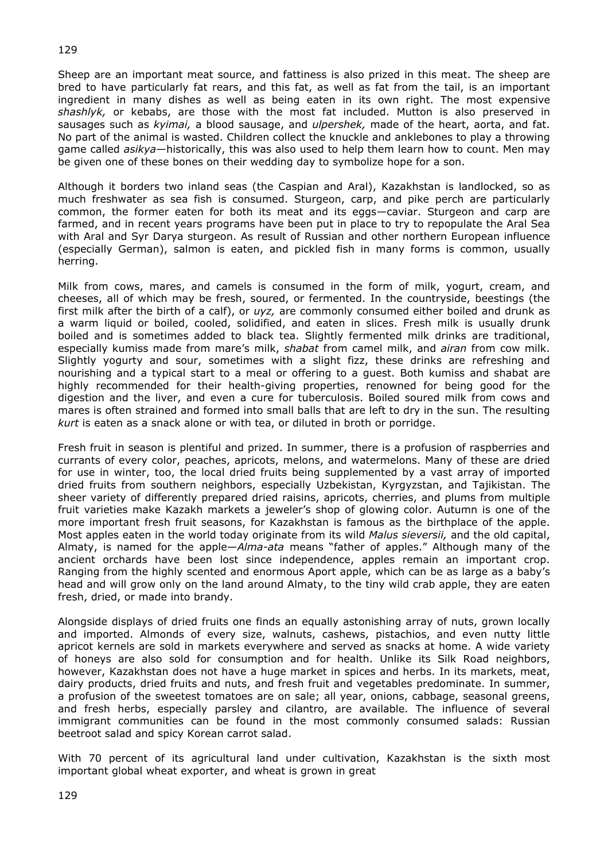Sheep are an important meat source, and fattiness is also prized in this meat. The sheep are bred to have particularly fat rears, and this fat, as well as fat from the tail, is an important ingredient in many dishes as well as being eaten in its own right. The most expensive *shashlyk,* or kebabs, are those with the most fat included. Mutton is also preserved in sausages such as *kyimai,* a blood sausage, and *ulpershek,* made of the heart, aorta, and fat. No part of the animal is wasted. Children collect the knuckle and anklebones to play a throwing game called *asikya*—historically, this was also used to help them learn how to count. Men may be given one of these bones on their wedding day to symbolize hope for a son.

Although it borders two inland seas (the Caspian and Aral), Kazakhstan is landlocked, so as much freshwater as sea fish is consumed. Sturgeon, carp, and pike perch are particularly common, the former eaten for both its meat and its eggs—caviar. Sturgeon and carp are farmed, and in recent years programs have been put in place to try to repopulate the Aral Sea with Aral and Syr Darya sturgeon. As result of Russian and other northern European influence (especially German), salmon is eaten, and pickled fish in many forms is common, usually herring.

Milk from cows, mares, and camels is consumed in the form of milk, yogurt, cream, and cheeses, all of which may be fresh, soured, or fermented. In the countryside, beestings (the first milk after the birth of a calf), or *uyz,* are commonly consumed either boiled and drunk as a warm liquid or boiled, cooled, solidified, and eaten in slices. Fresh milk is usually drunk boiled and is sometimes added to black tea. Slightly fermented milk drinks are traditional, especially kumiss made from mare's milk, *shabat* from camel milk, and *airan* from cow milk. Slightly yogurty and sour, sometimes with a slight fizz, these drinks are refreshing and nourishing and a typical start to a meal or offering to a guest. Both kumiss and shabat are highly recommended for their health-giving properties, renowned for being good for the digestion and the liver, and even a cure for tuberculosis. Boiled soured milk from cows and mares is often strained and formed into small balls that are left to dry in the sun. The resulting *kurt* is eaten as a snack alone or with tea, or diluted in broth or porridge.

Fresh fruit in season is plentiful and prized. In summer, there is a profusion of raspberries and currants of every color, peaches, apricots, melons, and watermelons. Many of these are dried for use in winter, too, the local dried fruits being supplemented by a vast array of imported dried fruits from southern neighbors, especially Uzbekistan, Kyrgyzstan, and Tajikistan. The sheer variety of differently prepared dried raisins, apricots, cherries, and plums from multiple fruit varieties make Kazakh markets a jeweler's shop of glowing color. Autumn is one of the more important fresh fruit seasons, for Kazakhstan is famous as the birthplace of the apple. Most apples eaten in the world today originate from its wild *Malus sieversii,* and the old capital, Almaty, is named for the apple—*Alma-ata* means "father of apples." Although many of the ancient orchards have been lost since independence, apples remain an important crop. Ranging from the highly scented and enormous Aport apple, which can be as large as a baby's head and will grow only on the land around Almaty, to the tiny wild crab apple, they are eaten fresh, dried, or made into brandy.

Alongside displays of dried fruits one finds an equally astonishing array of nuts, grown locally and imported. Almonds of every size, walnuts, cashews, pistachios, and even nutty little apricot kernels are sold in markets everywhere and served as snacks at home. A wide variety of honeys are also sold for consumption and for health. Unlike its Silk Road neighbors, however, Kazakhstan does not have a huge market in spices and herbs. In its markets, meat, dairy products, dried fruits and nuts, and fresh fruit and vegetables predominate. In summer, a profusion of the sweetest tomatoes are on sale; all year, onions, cabbage, seasonal greens, and fresh herbs, especially parsley and cilantro, are available. The influence of several immigrant communities can be found in the most commonly consumed salads: Russian beetroot salad and spicy Korean carrot salad.

With 70 percent of its agricultural land under cultivation, Kazakhstan is the sixth most important global wheat exporter, and wheat is grown in great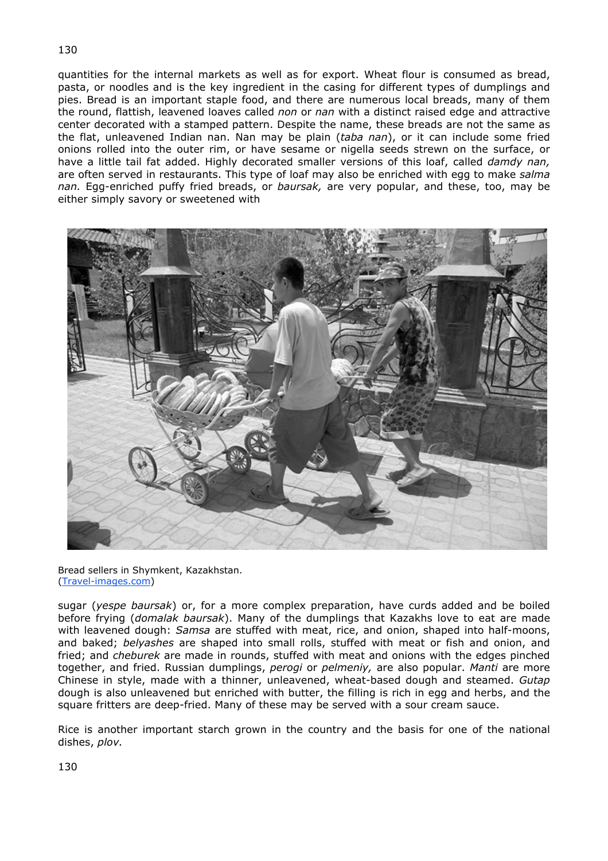quantities for the internal markets as well as for export. Wheat flour is consumed as bread, pasta, or noodles and is the key ingredient in the casing for different types of dumplings and pies. Bread is an important staple food, and there are numerous local breads, many of them the round, flattish, leavened loaves called *non* or *nan* with a distinct raised edge and attractive center decorated with a stamped pattern. Despite the name, these breads are not the same as the flat, unleavened Indian nan. Nan may be plain (*taba nan*), or it can include some fried onions rolled into the outer rim, or have sesame or nigella seeds strewn on the surface, or have a little tail fat added. Highly decorated smaller versions of this loaf, called *damdy nan,* are often served in restaurants. This type of loaf may also be enriched with egg to make *salma nan.* Egg-enriched puffy fried breads, or *baursak,* are very popular, and these, too, may be either simply savory or sweetened with



Bread sellers in Shymkent, Kazakhstan. (Travel-images.com)

sugar (*yespe baursak*) or, for a more complex preparation, have curds added and be boiled before frying (*domalak baursak*). Many of the dumplings that Kazakhs love to eat are made with leavened dough: *Samsa* are stuffed with meat, rice, and onion, shaped into half-moons, and baked; *belyashes* are shaped into small rolls, stuffed with meat or fish and onion, and fried; and *cheburek* are made in rounds, stuffed with meat and onions with the edges pinched together, and fried. Russian dumplings, *perogi* or *pelmeniy,* are also popular. *Manti* are more Chinese in style, made with a thinner, unleavened, wheat-based dough and steamed. *Gutap* dough is also unleavened but enriched with butter, the filling is rich in egg and herbs, and the square fritters are deep-fried. Many of these may be served with a sour cream sauce.

Rice is another important starch grown in the country and the basis for one of the national dishes, *plov.*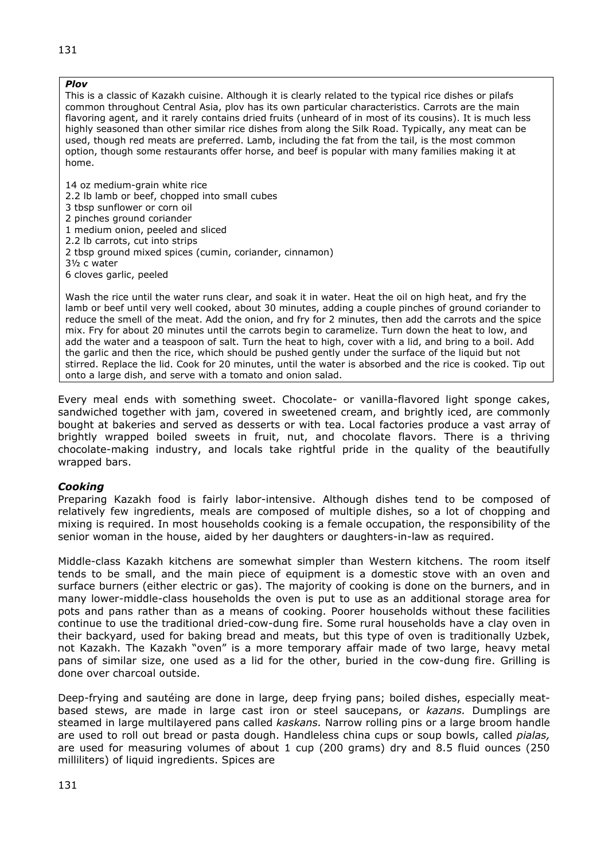## *Plov*

This is a classic of Kazakh cuisine. Although it is clearly related to the typical rice dishes or pilafs common throughout Central Asia, plov has its own particular characteristics. Carrots are the main flavoring agent, and it rarely contains dried fruits (unheard of in most of its cousins). It is much less highly seasoned than other similar rice dishes from along the Silk Road. Typically, any meat can be used, though red meats are preferred. Lamb, including the fat from the tail, is the most common option, though some restaurants offer horse, and beef is popular with many families making it at home.

14 oz medium-grain white rice 2.2 lb lamb or beef, chopped into small cubes 3 tbsp sunflower or corn oil 2 pinches ground coriander 1 medium onion, peeled and sliced 2.2 lb carrots, cut into strips 2 tbsp ground mixed spices (cumin, coriander, cinnamon) 3½ c water 6 cloves garlic, peeled

Wash the rice until the water runs clear, and soak it in water. Heat the oil on high heat, and fry the lamb or beef until very well cooked, about 30 minutes, adding a couple pinches of ground coriander to reduce the smell of the meat. Add the onion, and fry for 2 minutes, then add the carrots and the spice mix. Fry for about 20 minutes until the carrots begin to caramelize. Turn down the heat to low, and add the water and a teaspoon of salt. Turn the heat to high, cover with a lid, and bring to a boil. Add the garlic and then the rice, which should be pushed gently under the surface of the liquid but not stirred. Replace the lid. Cook for 20 minutes, until the water is absorbed and the rice is cooked. Tip out onto a large dish, and serve with a tomato and onion salad.

Every meal ends with something sweet. Chocolate- or vanilla-flavored light sponge cakes, sandwiched together with jam, covered in sweetened cream, and brightly iced, are commonly bought at bakeries and served as desserts or with tea. Local factories produce a vast array of brightly wrapped boiled sweets in fruit, nut, and chocolate flavors. There is a thriving chocolate-making industry, and locals take rightful pride in the quality of the beautifully wrapped bars.

## *Cooking*

Preparing Kazakh food is fairly labor-intensive. Although dishes tend to be composed of relatively few ingredients, meals are composed of multiple dishes, so a lot of chopping and mixing is required. In most households cooking is a female occupation, the responsibility of the senior woman in the house, aided by her daughters or daughters-in-law as required.

Middle-class Kazakh kitchens are somewhat simpler than Western kitchens. The room itself tends to be small, and the main piece of equipment is a domestic stove with an oven and surface burners (either electric or gas). The majority of cooking is done on the burners, and in many lower-middle-class households the oven is put to use as an additional storage area for pots and pans rather than as a means of cooking. Poorer households without these facilities continue to use the traditional dried-cow-dung fire. Some rural households have a clay oven in their backyard, used for baking bread and meats, but this type of oven is traditionally Uzbek, not Kazakh. The Kazakh "oven" is a more temporary affair made of two large, heavy metal pans of similar size, one used as a lid for the other, buried in the cow-dung fire. Grilling is done over charcoal outside.

Deep-frying and sautéing are done in large, deep frying pans; boiled dishes, especially meatbased stews, are made in large cast iron or steel saucepans, or *kazans.* Dumplings are steamed in large multilayered pans called *kaskans.* Narrow rolling pins or a large broom handle are used to roll out bread or pasta dough. Handleless china cups or soup bowls, called *pialas,* are used for measuring volumes of about 1 cup (200 grams) dry and 8.5 fluid ounces (250 milliliters) of liquid ingredients. Spices are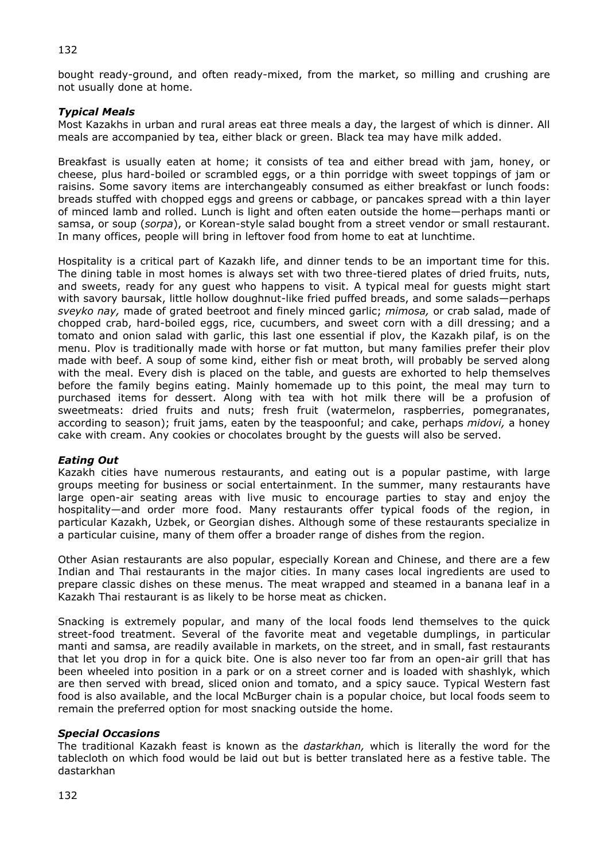bought ready-ground, and often ready-mixed, from the market, so milling and crushing are not usually done at home.

## *Typical Meals*

Most Kazakhs in urban and rural areas eat three meals a day, the largest of which is dinner. All meals are accompanied by tea, either black or green. Black tea may have milk added.

Breakfast is usually eaten at home; it consists of tea and either bread with jam, honey, or cheese, plus hard-boiled or scrambled eggs, or a thin porridge with sweet toppings of jam or raisins. Some savory items are interchangeably consumed as either breakfast or lunch foods: breads stuffed with chopped eggs and greens or cabbage, or pancakes spread with a thin layer of minced lamb and rolled. Lunch is light and often eaten outside the home—perhaps manti or samsa, or soup (*sorpa*), or Korean-style salad bought from a street vendor or small restaurant. In many offices, people will bring in leftover food from home to eat at lunchtime.

Hospitality is a critical part of Kazakh life, and dinner tends to be an important time for this. The dining table in most homes is always set with two three-tiered plates of dried fruits, nuts, and sweets, ready for any guest who happens to visit. A typical meal for guests might start with savory baursak, little hollow doughnut-like fried puffed breads, and some salads—perhaps *sveyko nay,* made of grated beetroot and finely minced garlic; *mimosa,* or crab salad, made of chopped crab, hard-boiled eggs, rice, cucumbers, and sweet corn with a dill dressing; and a tomato and onion salad with garlic, this last one essential if plov, the Kazakh pilaf, is on the menu. Plov is traditionally made with horse or fat mutton, but many families prefer their plov made with beef. A soup of some kind, either fish or meat broth, will probably be served along with the meal. Every dish is placed on the table, and guests are exhorted to help themselves before the family begins eating. Mainly homemade up to this point, the meal may turn to purchased items for dessert. Along with tea with hot milk there will be a profusion of sweetmeats: dried fruits and nuts; fresh fruit (watermelon, raspberries, pomegranates, according to season); fruit jams, eaten by the teaspoonful; and cake, perhaps *midovi,* a honey cake with cream. Any cookies or chocolates brought by the guests will also be served.

## *Eating Out*

Kazakh cities have numerous restaurants, and eating out is a popular pastime, with large groups meeting for business or social entertainment. In the summer, many restaurants have large open-air seating areas with live music to encourage parties to stay and enjoy the hospitality—and order more food. Many restaurants offer typical foods of the region, in particular Kazakh, Uzbek, or Georgian dishes. Although some of these restaurants specialize in a particular cuisine, many of them offer a broader range of dishes from the region.

Other Asian restaurants are also popular, especially Korean and Chinese, and there are a few Indian and Thai restaurants in the major cities. In many cases local ingredients are used to prepare classic dishes on these menus. The meat wrapped and steamed in a banana leaf in a Kazakh Thai restaurant is as likely to be horse meat as chicken.

Snacking is extremely popular, and many of the local foods lend themselves to the quick street-food treatment. Several of the favorite meat and vegetable dumplings, in particular manti and samsa, are readily available in markets, on the street, and in small, fast restaurants that let you drop in for a quick bite. One is also never too far from an open-air grill that has been wheeled into position in a park or on a street corner and is loaded with shashlyk, which are then served with bread, sliced onion and tomato, and a spicy sauce. Typical Western fast food is also available, and the local McBurger chain is a popular choice, but local foods seem to remain the preferred option for most snacking outside the home.

## *Special Occasions*

The traditional Kazakh feast is known as the *dastarkhan,* which is literally the word for the tablecloth on which food would be laid out but is better translated here as a festive table. The dastarkhan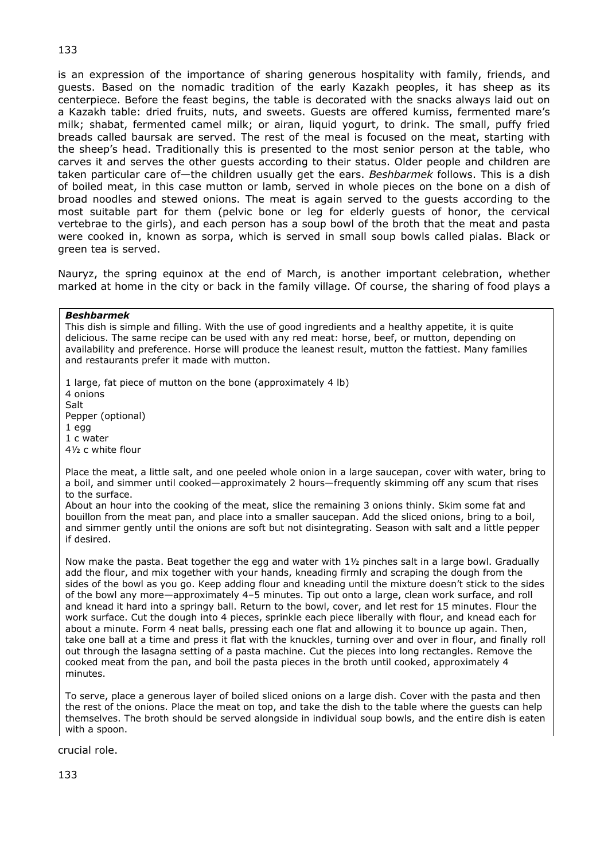is an expression of the importance of sharing generous hospitality with family, friends, and guests. Based on the nomadic tradition of the early Kazakh peoples, it has sheep as its centerpiece. Before the feast begins, the table is decorated with the snacks always laid out on a Kazakh table: dried fruits, nuts, and sweets. Guests are offered kumiss, fermented mare's milk; shabat, fermented camel milk; or airan, liquid yogurt, to drink. The small, puffy fried breads called baursak are served. The rest of the meal is focused on the meat, starting with the sheep's head. Traditionally this is presented to the most senior person at the table, who carves it and serves the other guests according to their status. Older people and children are taken particular care of—the children usually get the ears. *Beshbarmek* follows. This is a dish of boiled meat, in this case mutton or lamb, served in whole pieces on the bone on a dish of broad noodles and stewed onions. The meat is again served to the guests according to the most suitable part for them (pelvic bone or leg for elderly guests of honor, the cervical vertebrae to the girls), and each person has a soup bowl of the broth that the meat and pasta were cooked in, known as sorpa, which is served in small soup bowls called pialas. Black or green tea is served.

Nauryz, the spring equinox at the end of March, is another important celebration, whether marked at home in the city or back in the family village. Of course, the sharing of food plays a

#### *Beshbarmek*

This dish is simple and filling. With the use of good ingredients and a healthy appetite, it is quite delicious. The same recipe can be used with any red meat: horse, beef, or mutton, depending on availability and preference. Horse will produce the leanest result, mutton the fattiest. Many families and restaurants prefer it made with mutton.

1 large, fat piece of mutton on the bone (approximately 4 lb) 4 onions Salt Pepper (optional) 1 egg 1 c water 4½ c white flour

Place the meat, a little salt, and one peeled whole onion in a large saucepan, cover with water, bring to a boil, and simmer until cooked—approximately 2 hours—frequently skimming off any scum that rises to the surface.

About an hour into the cooking of the meat, slice the remaining 3 onions thinly. Skim some fat and bouillon from the meat pan, and place into a smaller saucepan. Add the sliced onions, bring to a boil, and simmer gently until the onions are soft but not disintegrating. Season with salt and a little pepper if desired.

Now make the pasta. Beat together the egg and water with 1½ pinches salt in a large bowl. Gradually add the flour, and mix together with your hands, kneading firmly and scraping the dough from the sides of the bowl as you go. Keep adding flour and kneading until the mixture doesn't stick to the sides of the bowl any more—approximately 4–5 minutes. Tip out onto a large, clean work surface, and roll and knead it hard into a springy ball. Return to the bowl, cover, and let rest for 15 minutes. Flour the work surface. Cut the dough into 4 pieces, sprinkle each piece liberally with flour, and knead each for about a minute. Form 4 neat balls, pressing each one flat and allowing it to bounce up again. Then, take one ball at a time and press it flat with the knuckles, turning over and over in flour, and finally roll out through the lasagna setting of a pasta machine. Cut the pieces into long rectangles. Remove the cooked meat from the pan, and boil the pasta pieces in the broth until cooked, approximately 4 minutes.

To serve, place a generous layer of boiled sliced onions on a large dish. Cover with the pasta and then the rest of the onions. Place the meat on top, and take the dish to the table where the guests can help themselves. The broth should be served alongside in individual soup bowls, and the entire dish is eaten with a spoon.

crucial role.

133

## 133